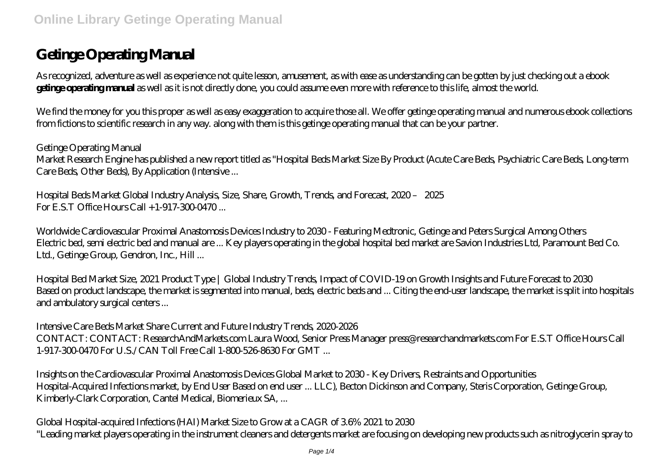# **Getinge Operating Manual**

As recognized, adventure as well as experience not quite lesson, amusement, as with ease as understanding can be gotten by just checking out a ebook **getinge operating manual** as well as it is not directly done, you could assume even more with reference to this life, almost the world.

We find the money for you this proper as well as easy exaggeration to acquire those all. We offer getinge operating manual and numerous ebook collections from fictions to scientific research in any way. along with them is this getinge operating manual that can be your partner.

*Getinge Operating Manual* Market Research Engine has published a new report titled as "Hospital Beds Market Size By Product (Acute Care Beds, Psychiatric Care Beds, Long-term Care Beds, Other Beds), By Application (Intensive ...

*Hospital Beds Market Global Industry Analysis, Size, Share, Growth, Trends, and Forecast, 2020 – 2025*  $For E. S. T. Office Hours Call + 1-917-300-0470...$ 

*Worldwide Cardiovascular Proximal Anastomosis Devices Industry to 2030 - Featuring Medtronic, Getinge and Peters Surgical Among Others* Electric bed, semi electric bed and manual are ... Key players operating in the global hospital bed market are Savion Industries Ltd, Paramount Bed Co. Ltd., Getinge Group, Gendron, Inc., Hill ...

*Hospital Bed Market Size, 2021 Product Type | Global Industry Trends, Impact of COVID-19 on Growth Insights and Future Forecast to 2030* Based on product landscape, the market is segmented into manual, beds, electric beds and ... Citing the end-user landscape, the market is split into hospitals and ambulatory surgical centers ...

*Intensive Care Beds Market Share Current and Future Industry Trends, 2020-2026* CONTACT: CONTACT: ResearchAndMarkets.com Laura Wood, Senior Press Manager press@researchandmarkets.com For E.S.T Office Hours Call 1-917-300-0470 For U.S./CAN Toll Free Call 1-800-526-8630 For GMT ...

*Insights on the Cardiovascular Proximal Anastomosis Devices Global Market to 2030 - Key Drivers, Restraints and Opportunities* Hospital-Acquired Infections market, by End User Based on end user ... LLC), Becton Dickinson and Company, Steris Corporation, Getinge Group, Kimberly-Clark Corporation, Cantel Medical, Biomerieux SA, ...

*Global Hospital-acquired Infections (HAI) Market Size to Grow at a CAGR of 3.6% 2021 to 2030* "Leading market players operating in the instrument cleaners and detergents market are focusing on developing new products such as nitroglycerin spray to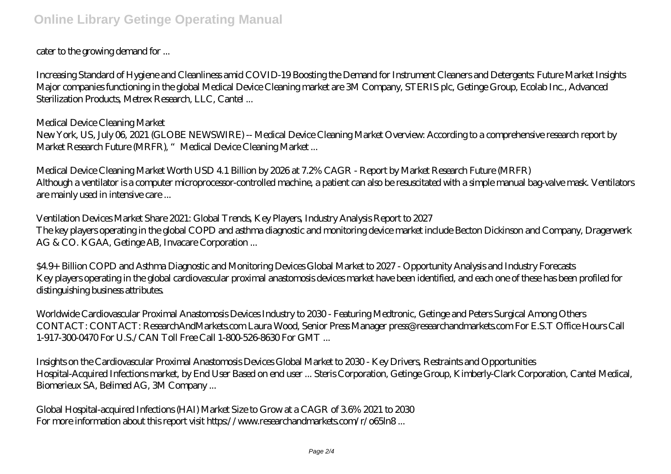#### cater to the growing demand for ...

*Increasing Standard of Hygiene and Cleanliness amid COVID-19 Boosting the Demand for Instrument Cleaners and Detergents: Future Market Insights* Major companies functioning in the global Medical Device Cleaning market are 3M Company, STERIS plc, Getinge Group, Ecolab Inc., Advanced Sterilization Products, Metrex Research, LLC, Cantel ...

#### *Medical Device Cleaning Market*

New York, US, July 06, 2021 (GLOBE NEWSWIRE) -- Medical Device Cleaning Market Overview: According to a comprehensive research report by Market Research Future (MRFR), "Medical Device Cleaning Market ...

*Medical Device Cleaning Market Worth USD 4.1 Billion by 2026 at 7.2% CAGR - Report by Market Research Future (MRFR)* Although a ventilator is a computer microprocessor-controlled machine, a patient can also be resuscitated with a simple manual bag-valve mask. Ventilators are mainly used in intensive care ...

### *Ventilation Devices Market Share 2021: Global Trends, Key Players, Industry Analysis Report to 2027* The key players operating in the global COPD and asthma diagnostic and monitoring device market include Becton Dickinson and Company, Dragerwerk AG & CO. KGAA, Getinge AB, Invacare Corporation ...

*\$4.9+ Billion COPD and Asthma Diagnostic and Monitoring Devices Global Market to 2027 - Opportunity Analysis and Industry Forecasts* Key players operating in the global cardiovascular proximal anastomosis devices market have been identified, and each one of these has been profiled for distinguishing business attributes.

*Worldwide Cardiovascular Proximal Anastomosis Devices Industry to 2030 - Featuring Medtronic, Getinge and Peters Surgical Among Others* CONTACT: CONTACT: ResearchAndMarkets.com Laura Wood, Senior Press Manager press@researchandmarkets.com For E.S.T Office Hours Call 1-917-300-0470 For U.S./CAN Toll Free Call 1-800-526-8630 For GMT ...

*Insights on the Cardiovascular Proximal Anastomosis Devices Global Market to 2030 - Key Drivers, Restraints and Opportunities* Hospital-Acquired Infections market, by End User Based on end user ... Steris Corporation, Getinge Group, Kimberly-Clark Corporation, Cantel Medical, Biomerieux SA, Belimed AG, 3M Company ...

*Global Hospital-acquired Infections (HAI) Market Size to Grow at a CAGR of 3.6% 2021 to 2030* For more information about this report visit https://www.researchandmarkets.com/r/o65ln8...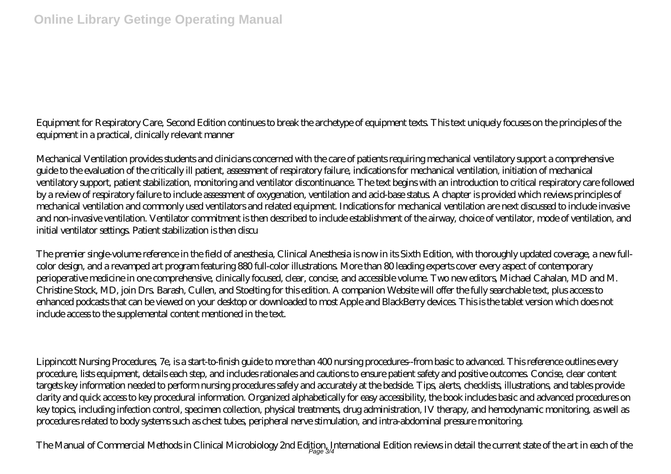### Equipment for Respiratory Care, Second Edition continues to break the archetype of equipment texts. This text uniquely focuses on the principles of the equipment in a practical, clinically relevant manner

Mechanical Ventilation provides students and clinicians concerned with the care of patients requiring mechanical ventilatory support a comprehensive guide to the evaluation of the critically ill patient, assessment of respiratory failure, indications for mechanical ventilation, initiation of mechanical ventilatory support, patient stabilization, monitoring and ventilator discontinuance. The text begins with an introduction to critical respiratory care followed by a review of respiratory failure to include assessment of oxygenation, ventilation and acid-base status. A chapter is provided which reviews principles of mechanical ventilation and commonly used ventilators and related equipment. Indications for mechanical ventilation are next discussed to include invasive and non-invasive ventilation. Ventilator commitment is then described to include establishment of the airway, choice of ventilator, mode of ventilation, and initial ventilator settings. Patient stabilization is then discu

The premier single-volume reference in the field of anesthesia, Clinical Anesthesia is now in its Sixth Edition, with thoroughly updated coverage, a new fullcolor design, and a revamped art program featuring 880 full-color illustrations. More than 80 leading experts cover every aspect of contemporary perioperative medicine in one comprehensive, clinically focused, clear, concise, and accessible volume. Two new editors, Michael Cahalan, MD and M. Christine Stock, MD, join Drs. Barash, Cullen, and Stoelting for this edition. A companion Website will offer the fully searchable text, plus access to enhanced podcasts that can be viewed on your desktop or downloaded to most Apple and BlackBerry devices. This is the tablet version which does not include access to the supplemental content mentioned in the text.

Lippincott Nursing Procedures, 7e, is a start-to-finish guide to more than 400 nursing procedures--from basic to advanced. This reference outlines every procedure, lists equipment, details each step, and includes rationales and cautions to ensure patient safety and positive outcomes. Concise, clear content targets key information needed to perform nursing procedures safely and accurately at the bedside. Tips, alerts, checklists, illustrations, and tables provide clarity and quick access to key procedural information. Organized alphabetically for easy accessibility, the book includes basic and advanced procedures on key topics, including infection control, specimen collection, physical treatments, drug administration, IV therapy, and hemodynamic monitoring, as well as procedures related to body systems such as chest tubes, peripheral nerve stimulation, and intra-abdominal pressure monitoring.

The Manual of Commercial Methods in Clinical Microbiology 2nd Edition, International Edition reviews in detail the current state of the art in each of the